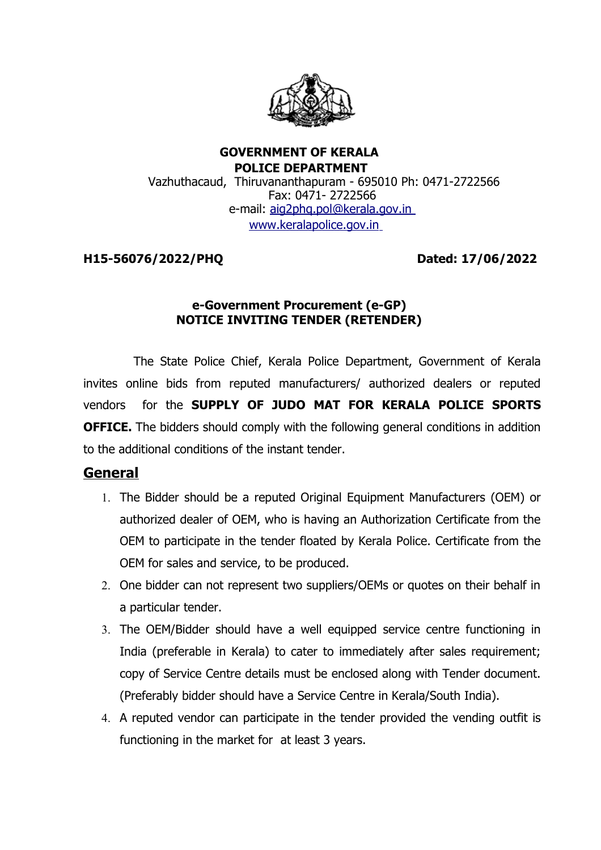

#### **GOVERNMENT OF KERALA POLICE DEPARTMENT** Vazhuthacaud, Thiruvananthapuram - 695010 Ph: 0471-2722566 Fax: 0471- 2722566 e-mail: aig2phg.pol@kerala.gov.in [www.keralapolice.gov.in](http://www.keralapolice.gov.in/)

### **H15-56076/2022/PHQ Dated: 17/06/2022**

## **e-Government Procurement (e-GP) NOTICE INVITING TENDER (RETENDER)**

 The State Police Chief, Kerala Police Department, Government of Kerala invites online bids from reputed manufacturers/ authorized dealers or reputed vendors for the **SUPPLY OF JUDO MAT FOR KERALA POLICE SPORTS OFFICE.** The bidders should comply with the following general conditions in addition to the additional conditions of the instant tender.

# **General**

- 1. The Bidder should be a reputed Original Equipment Manufacturers (OEM) or authorized dealer of OEM, who is having an Authorization Certificate from the OEM to participate in the tender floated by Kerala Police. Certificate from the OEM for sales and service, to be produced.
- 2. One bidder can not represent two suppliers/OEMs or quotes on their behalf in a particular tender.
- 3. The OEM/Bidder should have a well equipped service centre functioning in India (preferable in Kerala) to cater to immediately after sales requirement; copy of Service Centre details must be enclosed along with Tender document. (Preferably bidder should have a Service Centre in Kerala/South India).
- 4. A reputed vendor can participate in the tender provided the vending outfit is functioning in the market for at least 3 years.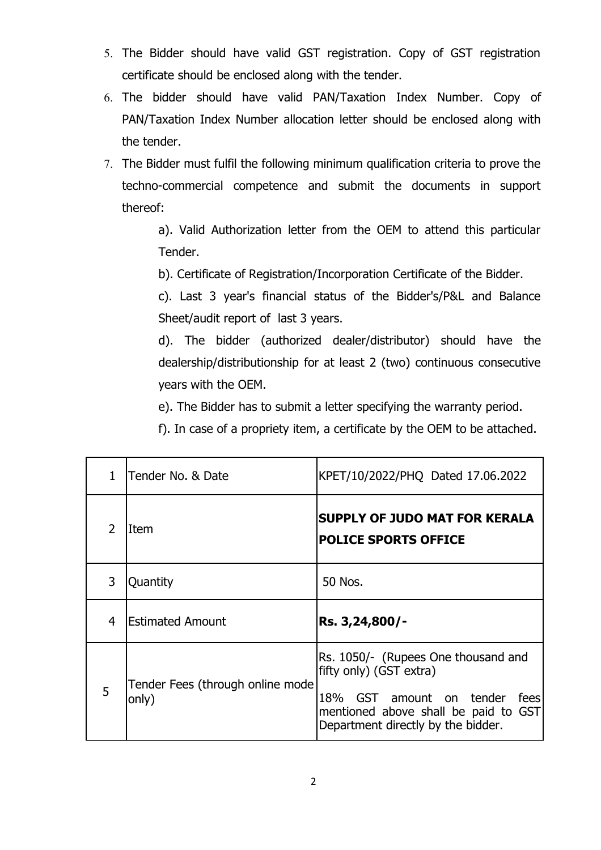- 5. The Bidder should have valid GST registration. Copy of GST registration certificate should be enclosed along with the tender.
- 6. The bidder should have valid PAN/Taxation Index Number. Copy of PAN/Taxation Index Number allocation letter should be enclosed along with the tender.
- 7. The Bidder must fulfil the following minimum qualification criteria to prove the techno-commercial competence and submit the documents in support thereof:

a). Valid Authorization letter from the OEM to attend this particular Tender.

b). Certificate of Registration/Incorporation Certificate of the Bidder.

c). Last 3 year's financial status of the Bidder's/P&L and Balance Sheet/audit report of last 3 years.

d). The bidder (authorized dealer/distributor) should have the dealership/distributionship for at least 2 (two) continuous consecutive years with the OEM.

e). The Bidder has to submit a letter specifying the warranty period.

f). In case of a propriety item, a certificate by the OEM to be attached.

| $\mathbf{1}$   | Tender No. & Date                         | KPET/10/2022/PHQ Dated 17.06.2022                                                                                                                                                |
|----------------|-------------------------------------------|----------------------------------------------------------------------------------------------------------------------------------------------------------------------------------|
| $\overline{2}$ | Item                                      | <b>SUPPLY OF JUDO MAT FOR KERALA</b><br><b>POLICE SPORTS OFFICE</b>                                                                                                              |
| 3              | Quantity                                  | 50 Nos.                                                                                                                                                                          |
| 4              | <b>Estimated Amount</b>                   | Rs. 3,24,800/-                                                                                                                                                                   |
| 5              | Tender Fees (through online mode<br>only) | Rs. 1050/- (Rupees One thousand and<br>fifty only) (GST extra)<br>18% GST amount on tender<br>fees<br>mentioned above shall be paid to GST<br>Department directly by the bidder. |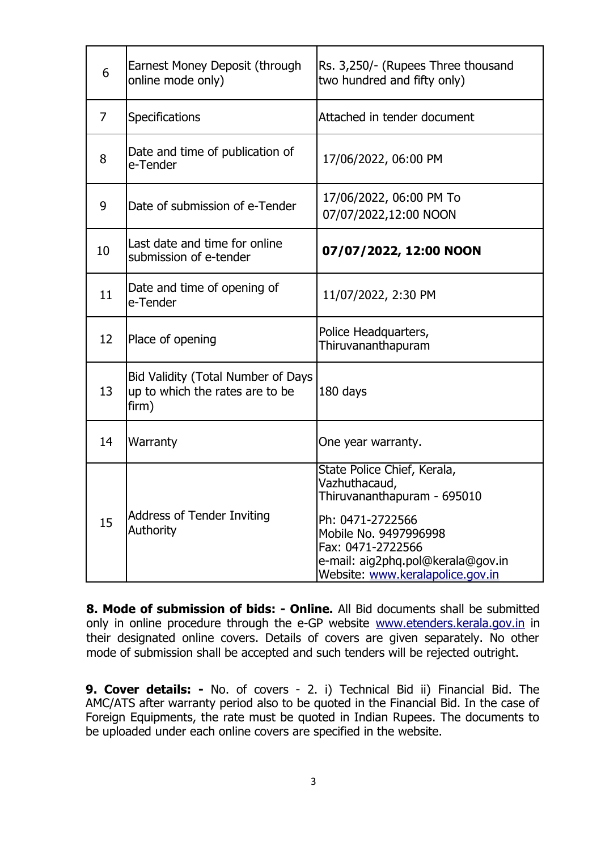| 6              | Earnest Money Deposit (through<br>online mode only)                            | Rs. 3,250/- (Rupees Three thousand<br>two hundred and fifty only)                                                                                                                                                      |
|----------------|--------------------------------------------------------------------------------|------------------------------------------------------------------------------------------------------------------------------------------------------------------------------------------------------------------------|
| $\overline{7}$ | Specifications                                                                 | Attached in tender document                                                                                                                                                                                            |
| 8              | Date and time of publication of<br>e-Tender                                    | 17/06/2022, 06:00 PM                                                                                                                                                                                                   |
| 9              | Date of submission of e-Tender                                                 | 17/06/2022, 06:00 PM To<br>07/07/2022,12:00 NOON                                                                                                                                                                       |
| 10             | Last date and time for online<br>submission of e-tender                        | 07/07/2022, 12:00 NOON                                                                                                                                                                                                 |
| 11             | Date and time of opening of<br>e-Tender                                        | 11/07/2022, 2:30 PM                                                                                                                                                                                                    |
| 12             | Place of opening                                                               | Police Headquarters,<br>Thiruvananthapuram                                                                                                                                                                             |
| 13             | Bid Validity (Total Number of Days<br>up to which the rates are to be<br>firm) | 180 days                                                                                                                                                                                                               |
| 14             | Warranty                                                                       | One year warranty.                                                                                                                                                                                                     |
| 15             | <b>Address of Tender Inviting</b><br><b>Authority</b>                          | State Police Chief, Kerala,<br>Vazhuthacaud,<br>Thiruvananthapuram - 695010<br>Ph: 0471-2722566<br>Mobile No. 9497996998<br>Fax: 0471-2722566<br>e-mail: aig2phq.pol@kerala@gov.in<br>Website: www.keralapolice.gov.in |

**8. Mode of submission of bids: - Online.** All Bid documents shall be submitted only in online procedure through the e-GP website [www.etenders.kerala.gov.in](http://www.etenders.kerala.gov.in/) in their designated online covers. Details of covers are given separately. No other mode of submission shall be accepted and such tenders will be rejected outright.

**9. Cover details: -** No. of covers - 2. i) Technical Bid ii) Financial Bid. The AMC/ATS after warranty period also to be quoted in the Financial Bid. In the case of Foreign Equipments, the rate must be quoted in Indian Rupees. The documents to be uploaded under each online covers are specified in the website.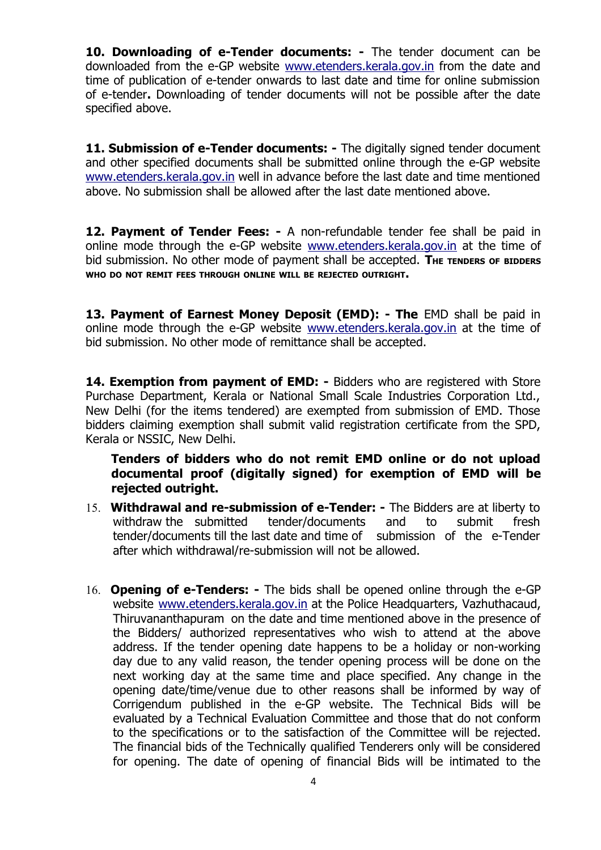**10. Downloading of e-Tender documents: -** The tender document can be downloaded from the e-GP website [www.etenders.kerala.gov.in](http://www.etenders.kerala.gov.in/) from the date and time of publication of e-tender onwards to last date and time for online submission of e-tender**.** Downloading of tender documents will not be possible after the date specified above.

**11. Submission of e-Tender documents:** - The digitally signed tender document and other specified documents shall be submitted online through the e-GP website [www.etenders.kerala.gov.in](http://www.etenders.kerala.gov.in/) well in advance before the last date and time mentioned above. No submission shall be allowed after the last date mentioned above.

**12. Payment of Tender Fees: -** A non-refundable tender fee shall be paid in online mode through the e-GP website [www.etenders.kerala.gov.in](http://www.etenders.kerala.gov.in/) at the time of bid submission. No other mode of payment shall be accepted. The TENDERS of BIDDERS **WHO DO NOT REMIT FEES THROUGH ONLINE WILL BE REJECTED OUTRIGHT.**

13. Payment of Earnest Money Deposit (EMD): - The EMD shall be paid in online mode through the e-GP website [www.etenders.kerala.gov.in](http://www.etenders.kerala.gov.in/) at the time of bid submission. No other mode of remittance shall be accepted.

**14. Exemption from payment of EMD: -** Bidders who are registered with Store Purchase Department, Kerala or National Small Scale Industries Corporation Ltd., New Delhi (for the items tendered) are exempted from submission of EMD. Those bidders claiming exemption shall submit valid registration certificate from the SPD, Kerala or NSSIC, New Delhi.

**Tenders of bidders who do not remit EMD online or do not upload documental proof (digitally signed) for exemption of EMD will be rejected outright.**

- 15. **Withdrawal and re-submission of e-Tender:** The Bidders are at liberty to withdraw the submitted tender/documents and to submit fresh tender/documents till the last date and time of submission of the e-Tender after which withdrawal/re-submission will not be allowed.
- 16. **Opening of e-Tenders:** The bids shall be opened online through the e-GP website [www.etenders.kerala.gov.in](http://www.etenders.kerala.gov.in/) at the Police Headquarters, Vazhuthacaud, Thiruvananthapuram on the date and time mentioned above in the presence of the Bidders/ authorized representatives who wish to attend at the above address. If the tender opening date happens to be a holiday or non-working day due to any valid reason, the tender opening process will be done on the next working day at the same time and place specified. Any change in the opening date/time/venue due to other reasons shall be informed by way of Corrigendum published in the e-GP website. The Technical Bids will be evaluated by a Technical Evaluation Committee and those that do not conform to the specifications or to the satisfaction of the Committee will be rejected. The financial bids of the Technically qualified Tenderers only will be considered for opening. The date of opening of financial Bids will be intimated to the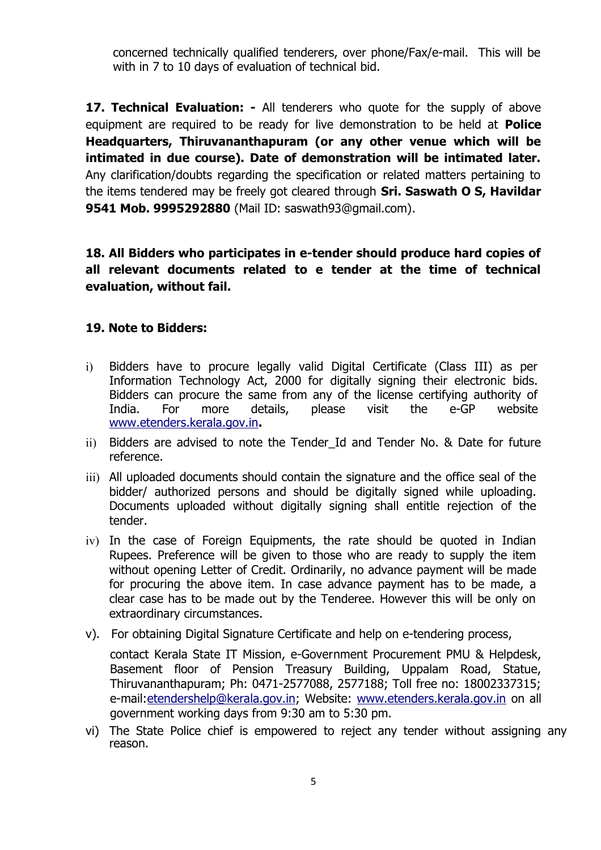concerned technically qualified tenderers, over phone/Fax/e-mail. This will be with in 7 to 10 days of evaluation of technical bid.

**17. Technical Evaluation: -** All tenderers who quote for the supply of above equipment are required to be ready for live demonstration to be held at **Police Headquarters, Thiruvananthapuram (or any other venue which will be intimated in due course). Date of demonstration will be intimated later.** Any clarification/doubts regarding the specification or related matters pertaining to the items tendered may be freely got cleared through **Sri. Saswath O S, Havildar 9541 Mob. 9995292880** (Mail ID: saswath93@gmail.com).

**18. All Bidders who participates in e-tender should produce hard copies of all relevant documents related to e tender at the time of technical evaluation, without fail.** 

#### **19. Note to Bidders:**

- i) Bidders have to procure legally valid Digital Certificate (Class III) as per Information Technology Act, 2000 for digitally signing their electronic bids. Bidders can procure the same from any of the license certifying authority of India. For more details, please visit the e-GP website [www.etenders.kerala.gov.in](http://www.etenders.kerala.gov.in/)**.**
- ii) Bidders are advised to note the Tender Id and Tender No. & Date for future reference.
- iii) All uploaded documents should contain the signature and the office seal of the bidder/ authorized persons and should be digitally signed while uploading. Documents uploaded without digitally signing shall entitle rejection of the tender.
- iv) In the case of Foreign Equipments, the rate should be quoted in Indian Rupees. Preference will be given to those who are ready to supply the item without opening Letter of Credit. Ordinarily, no advance payment will be made for procuring the above item. In case advance payment has to be made, a clear case has to be made out by the Tenderee. However this will be only on extraordinary circumstances.
- v). For obtaining Digital Signature Certificate and help on e-tendering process,

contact Kerala State IT Mission, e-Government Procurement PMU & Helpdesk, Basement floor of Pension Treasury Building, Uppalam Road, Statue, Thiruvananthapuram; Ph: 0471-2577088, 2577188; Toll free no: 18002337315; e-mail: etendershelp@kerala.gov.in; Website: [www.etenders.kerala.gov.in](http://www.etenders.kerala.gov.in/) on all government working days from 9:30 am to 5:30 pm.

vi) The State Police chief is empowered to reject any tender without assigning any reason.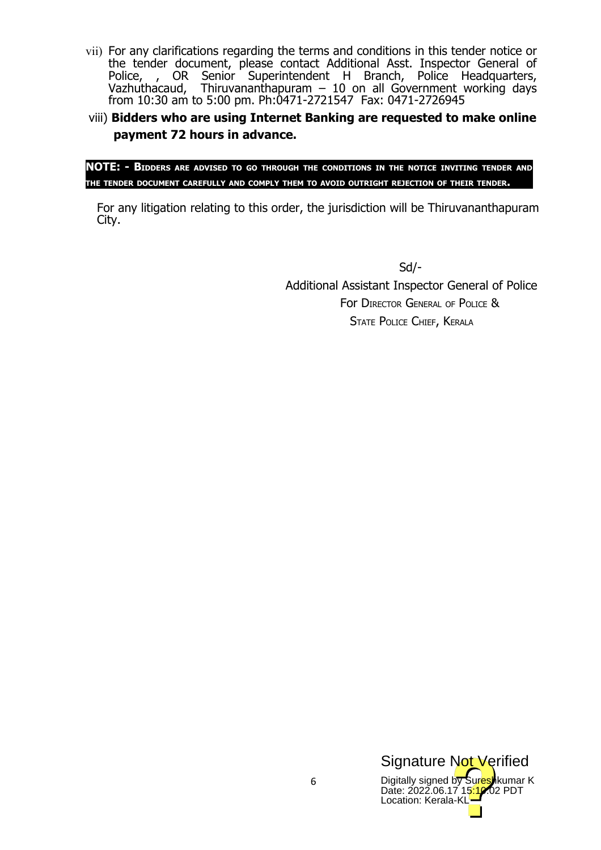- vii) For any clarifications regarding the terms and conditions in this tender notice or the tender document, please contact Additional Asst. Inspector General of Police, , OR Senior Superintendent H Branch, Police Headquarters, Vazhuthacaud, Thiruvananthapuram – 10 on all Government working days from 10:30 am to 5:00 pm. Ph:0471-2721547 Fax: 0471-2726945
- viii) **Bidders who are using Internet Banking are requested to make online payment 72 hours in advance.**

**NOTE: - BIDDERS ARE ADVISED TO GO THROUGH THE CONDITIONS IN THE NOTICE INVITING TENDER AND THE TENDER DOCUMENT CAREFULLY AND COMPLY THEM TO AVOID OUTRIGHT REJECTION OF THEIR TENDER.**

For any litigation relating to this order, the jurisdiction will be Thiruvananthapuram City.

> Sd/- Additional Assistant Inspector General of Police For DIRECTOR GENERAL OF POLICE & STATE POLICE CHIEF, KERALA